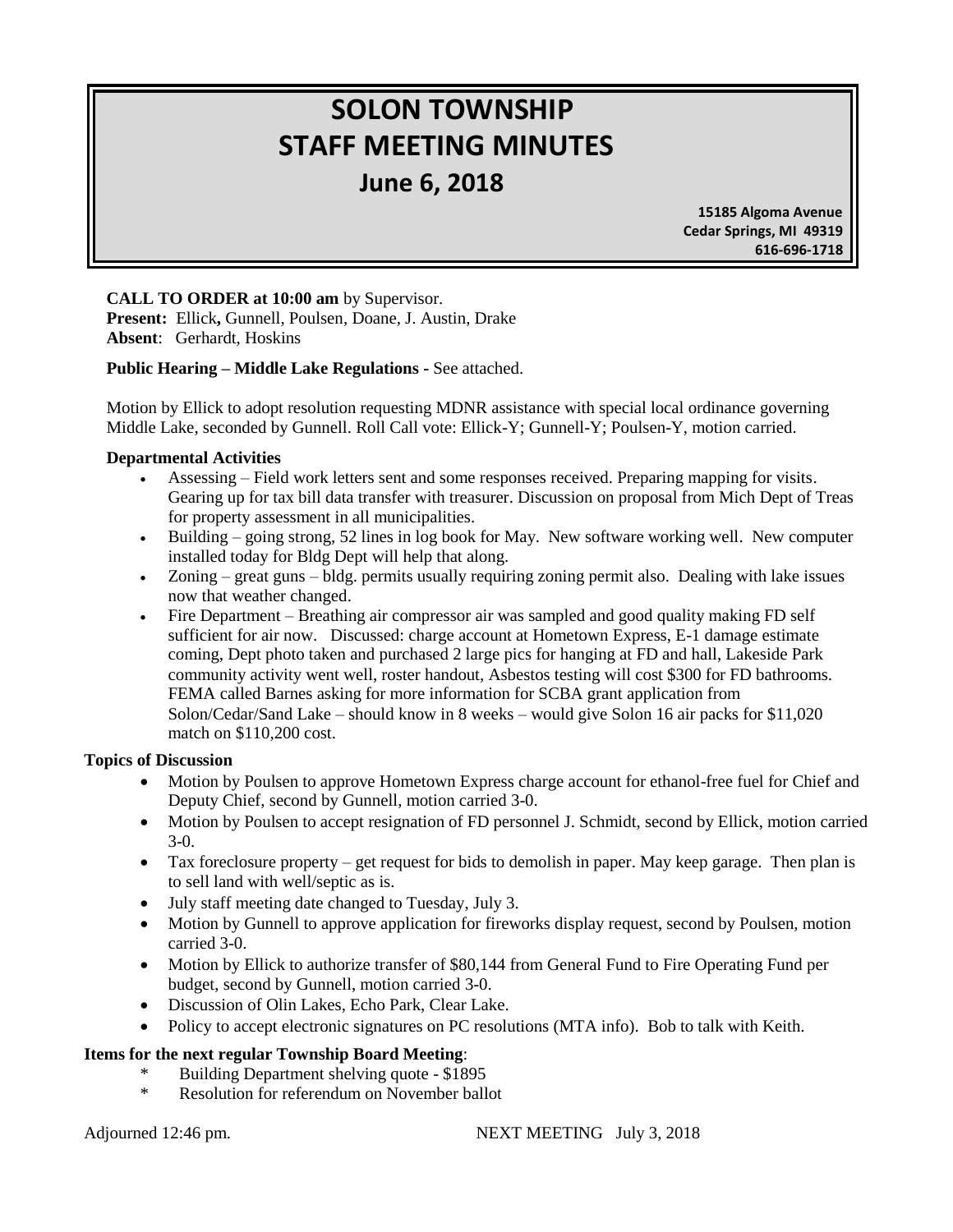# **SOLON TOWNSHIP STAFF MEETING MINUTES June 6, 2018**

 **15185 Algoma Avenue Cedar Springs, MI 49319 616-696-1718**

## **CALL TO ORDER at 10:00 am** by Supervisor.

**Present:** Ellick**,** Gunnell, Poulsen, Doane, J. Austin, Drake **Absent**: Gerhardt, Hoskins

#### **Public Hearing – Middle Lake Regulations -** See attached.

Motion by Ellick to adopt resolution requesting MDNR assistance with special local ordinance governing Middle Lake, seconded by Gunnell. Roll Call vote: Ellick-Y; Gunnell-Y; Poulsen-Y, motion carried.

#### **Departmental Activities**

- Assessing Field work letters sent and some responses received. Preparing mapping for visits. Gearing up for tax bill data transfer with treasurer. Discussion on proposal from Mich Dept of Treas for property assessment in all municipalities.
- Building going strong, 52 lines in log book for May. New software working well. New computer installed today for Bldg Dept will help that along.
- Zoning great guns bldg. permits usually requiring zoning permit also. Dealing with lake issues now that weather changed.
- Fire Department Breathing air compressor air was sampled and good quality making FD self sufficient for air now. Discussed: charge account at Hometown Express, E-1 damage estimate coming, Dept photo taken and purchased 2 large pics for hanging at FD and hall, Lakeside Park community activity went well, roster handout, Asbestos testing will cost \$300 for FD bathrooms. FEMA called Barnes asking for more information for SCBA grant application from Solon/Cedar/Sand Lake – should know in 8 weeks – would give Solon 16 air packs for \$11,020 match on \$110,200 cost.

#### **Topics of Discussion**

- Motion by Poulsen to approve Hometown Express charge account for ethanol-free fuel for Chief and Deputy Chief, second by Gunnell, motion carried 3-0.
- Motion by Poulsen to accept resignation of FD personnel J. Schmidt, second by Ellick, motion carried 3-0.
- Tax foreclosure property get request for bids to demolish in paper. May keep garage. Then plan is to sell land with well/septic as is.
- July staff meeting date changed to Tuesday, July 3.
- Motion by Gunnell to approve application for fireworks display request, second by Poulsen, motion carried 3-0.
- Motion by Ellick to authorize transfer of \$80,144 from General Fund to Fire Operating Fund per budget, second by Gunnell, motion carried 3-0.
- Discussion of Olin Lakes, Echo Park, Clear Lake.
- Policy to accept electronic signatures on PC resolutions (MTA info). Bob to talk with Keith.

## **Items for the next regular Township Board Meeting**:

- Building Department shelving quote \$1895
- \* Resolution for referendum on November ballot

Adjourned 12:46 pm. NEXT MEETING July 3, 2018